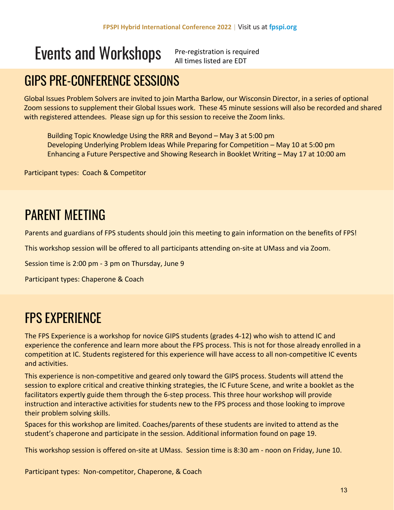Pre-registration is required All times listed are EDT

### GIPS PRE-CONFERENCE SESSIONS

Global Issues Problem Solvers are invited to join Martha Barlow, our Wisconsin Director, in a series of optional Zoom sessions to supplement their Global Issues work. These 45 minute sessions will also be recorded and shared with registered attendees. Please sign up for this session to receive the Zoom links.

Building Topic Knowledge Using the RRR and Beyond – May 3 at 5:00 pm Developing Underlying Problem Ideas While Preparing for Competition – May 10 at 5:00 pm Enhancing a Future Perspective and Showing Research in Booklet Writing – May 17 at 10:00 am

Participant types: Coach & Competitor

## PARENT MEETING

Parents and guardians of FPS students should join this meeting to gain information on the benefits of FPS!

This workshop session will be offered to all participants attending on-site at UMass and via Zoom.

Session time is 2:00 pm - 3 pm on Thursday, June 9

Participant types: Chaperone & Coach

### FPS EXPERIENCE

The FPS Experience is a workshop for novice GIPS students (grades 4-12) who wish to attend IC and experience the conference and learn more about the FPS process. This is not for those already enrolled in a competition at IC. Students registered for this experience will have access to all non-competitive IC events and activities.

This experience is non-competitive and geared only toward the GIPS process. Students will attend the session to explore critical and creative thinking strategies, the IC Future Scene, and write a booklet as the facilitators expertly guide them through the 6-step process. This three hour workshop will provide instruction and interactive activities for students new to the FPS process and those looking to improve their problem solving skills.

Spaces for this workshop are limited. Coaches/parents of these students are invited to attend as the student's chaperone and participate in the session. Additional information found on page 19.

This workshop session is offered on-site at UMass. Session time is 8:30 am - noon on Friday, June 10.

Participant types: Non-competitor, Chaperone, & Coach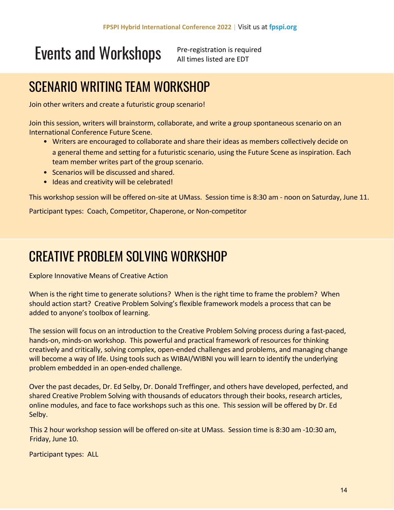Pre-registration is required All times listed are EDT

## SCENARIO WRITING TEAM WORKSHOP

Join other writers and create a futuristic group scenario!

Join this session, writers will brainstorm, collaborate, and write a group spontaneous scenario on an International Conference Future Scene.

- Writers are encouraged to collaborate and share their ideas as members collectively decide on a general theme and setting for a futuristic scenario, using the Future Scene as inspiration. Each team member writes part of the group scenario.
- Scenarios will be discussed and shared.
- Ideas and creativity will be celebrated!

This workshop session will be offered on-site at UMass. Session time is 8:30 am - noon on Saturday, June 11.

Participant types: Coach, Competitor, Chaperone, or Non-competitor

### CREATIVE PROBLEM SOLVING WORKSHOP

Explore Innovative Means of Creative Action

When is the right time to generate solutions? When is the right time to frame the problem? When should action start? Creative Problem Solving's flexible framework models a process that can be added to anyone's toolbox of learning.

The session will focus on an introduction to the Creative Problem Solving process during a fast-paced, hands-on, minds-on workshop. This powerful and practical framework of resources for thinking creatively and critically, solving complex, open-ended challenges and problems, and managing change will become a way of life. Using tools such as WIBAI/WIBNI you will learn to identify the underlying problem embedded in an open-ended challenge.

Over the past decades, Dr. Ed Selby, Dr. Donald Treffinger, and others have developed, perfected, and shared Creative Problem Solving with thousands of educators through their books, research articles, online modules, and face to face workshops such as this one. This session will be offered by Dr. Ed Selby.

This 2 hour workshop session will be offered on-site at UMass. Session time is 8:30 am -10:30 am, Friday, June 10.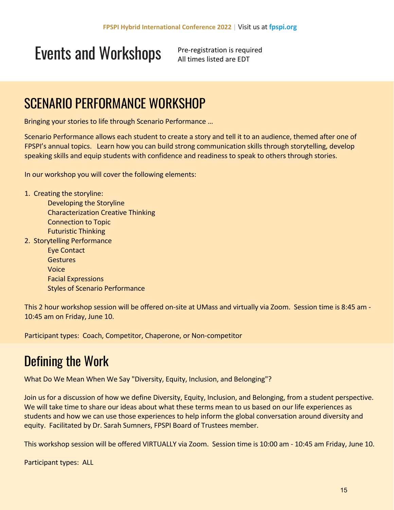Pre-registration is required All times listed are EDT

#### SCENARIO PERFORMANCE WORKSHOP

Bringing your stories to life through Scenario Performance …

Scenario Performance allows each student to create a story and tell it to an audience, themed after one of FPSPI's annual topics. Learn how you can build strong communication skills through storytelling, develop speaking skills and equip students with confidence and readiness to speak to others through stories.

In our workshop you will cover the following elements:

1. Creating the storyline:

Developing the Storyline Characterization Creative Thinking Connection to Topic Futuristic Thinking 2. Storytelling Performance

> Eye Contact **Gestures** Voice Facial Expressions Styles of Scenario Performance

This 2 hour workshop session will be offered on-site at UMass and virtually via Zoom. Session time is 8:45 am - 10:45 am on Friday, June 10.

Participant types: Coach, Competitor, Chaperone, or Non-competitor

### Defining the Work

What Do We Mean When We Say "Diversity, Equity, Inclusion, and Belonging"?

Join us for a discussion of how we define Diversity, Equity, Inclusion, and Belonging, from a student perspective. We will take time to share our ideas about what these terms mean to us based on our life experiences as students and how we can use those experiences to help inform the global conversation around diversity and equity. Facilitated by Dr. Sarah Sumners, FPSPI Board of Trustees member.

This workshop session will be offered VIRTUALLY via Zoom. Session time is 10:00 am - 10:45 am Friday, June 10.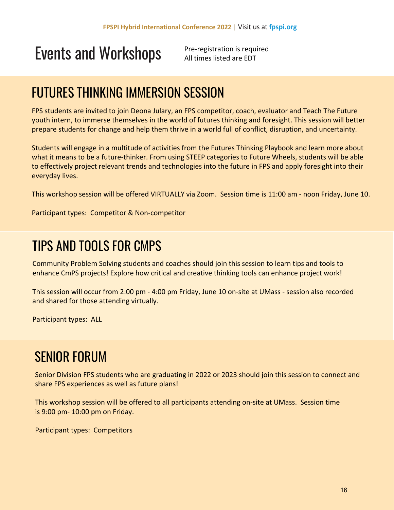Pre-registration is required All times listed are EDT

## FUTURES THINKING IMMERSION SESSION

FPS students are invited to join Deona Julary, an FPS competitor, coach, evaluator and Teach The Future youth intern, to immerse themselves in the world of futures thinking and foresight. This session will better prepare students for change and help them thrive in a world full of conflict, disruption, and uncertainty.

Students will engage in a multitude of activities from the Futures Thinking Playbook and learn more about what it means to be a future-thinker. From using STEEP categories to Future Wheels, students will be able to effectively project relevant trends and technologies into the future in FPS and apply foresight into their everyday lives.

This workshop session will be offered VIRTUALLY via Zoom. Session time is 11:00 am - noon Friday, June 10.

Participant types: Competitor & Non-competitor

#### TIPS AND TOOLS FOR CMPS

Community Problem Solving students and coaches should join this session to learn tips and tools to enhance CmPS projects! Explore how critical and creative thinking tools can enhance project work!

This session will occur from 2:00 pm - 4:00 pm Friday, June 10 on-site at UMass - session also recorded and shared for those attending virtually.

Participant types: ALL

#### SENIOR FORUM

Senior Division FPS students who are graduating in 2022 or 2023 should join this session to connect and share FPS experiences as well as future plans!

This workshop session will be offered to all participants attending on-site at UMass. Session time is 9:00 pm- 10:00 pm on Friday.

Participant types: Competitors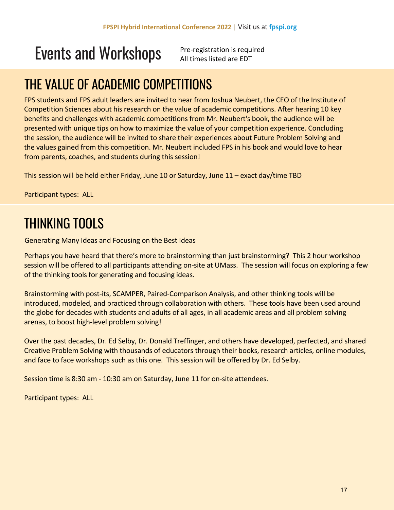Pre-registration is required All times listed are EDT

## THE VALUE OF ACADEMIC COMPETITIONS

FPS students and FPS adult leaders are invited to hear from Joshua Neubert, the CEO of the Institute of Competition Sciences about his research on the value of academic competitions. After hearing 10 key benefits and challenges with academic competitions from Mr. Neubert's book, the audience will be presented with unique tips on how to maximize the value of your competition experience. Concluding the session, the audience will be invited to share their experiences about Future Problem Solving and the values gained from this competition. Mr. Neubert included FPS in his book and would love to hear from parents, coaches, and students during this session!

This session will be held either Friday, June 10 or Saturday, June 11 – exact day/time TBD

Participant types: ALL

## THINKING TOOLS

Generating Many Ideas and Focusing on the Best Ideas

Perhaps you have heard that there's more to brainstorming than just brainstorming? This 2 hour workshop session will be offered to all participants attending on-site at UMass. The session will focus on exploring a few of the thinking tools for generating and focusing ideas.

Brainstorming with post-its, SCAMPER, Paired-Comparison Analysis, and other thinking tools will be introduced, modeled, and practiced through collaboration with others. These tools have been used around the globe for decades with students and adults of all ages, in all academic areas and all problem solving arenas, to boost high-level problem solving!

Over the past decades, Dr. Ed Selby, Dr. Donald Treffinger, and others have developed, perfected, and shared Creative Problem Solving with thousands of educators through their books, research articles, online modules, and face to face workshops such as this one. This session will be offered by Dr. Ed Selby.

Session time is 8:30 am - 10:30 am on Saturday, June 11 for on-site attendees.